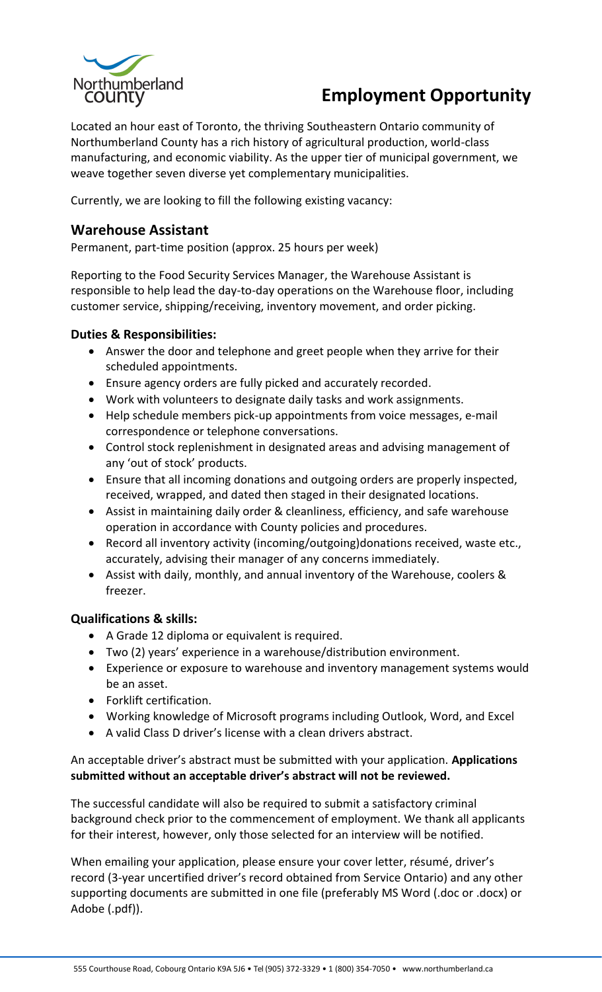

# **Employment Opportunity**

Located an hour east of Toronto, the thriving Southeastern Ontario community of Northumberland County has a rich history of agricultural production, world-class manufacturing, and economic viability. As the upper tier of municipal government, we weave together seven diverse yet complementary municipalities.

Currently, we are looking to fill the following existing vacancy:

## **Warehouse Assistant**

Permanent, part-time position (approx. 25 hours per week)

Reporting to the Food Security Services Manager, the Warehouse Assistant is responsible to help lead the day-to-day operations on the Warehouse floor, including customer service, shipping/receiving, inventory movement, and order picking.

### **Duties & Responsibilities:**

- Answer the door and telephone and greet people when they arrive for their scheduled appointments.
- Ensure agency orders are fully picked and accurately recorded.
- Work with volunteers to designate daily tasks and work assignments.
- Help schedule members pick-up appointments from voice messages, e-mail correspondence or telephone conversations.
- Control stock replenishment in designated areas and advising management of any 'out of stock' products.
- Ensure that all incoming donations and outgoing orders are properly inspected, received, wrapped, and dated then staged in their designated locations.
- Assist in maintaining daily order & cleanliness, efficiency, and safe warehouse operation in accordance with County policies and procedures.
- Record all inventory activity (incoming/outgoing)donations received, waste etc., accurately, advising their manager of any concerns immediately.
- Assist with daily, monthly, and annual inventory of the Warehouse, coolers & freezer.

### **Qualifications & skills:**

- A Grade 12 diploma or equivalent is required.
- Two (2) years' experience in a warehouse/distribution environment.
- Experience or exposure to warehouse and inventory management systems would be an asset.
- Forklift certification.
- Working knowledge of Microsoft programs including Outlook, Word, and Excel
- A valid Class D driver's license with a clean drivers abstract.

#### An acceptable driver's abstract must be submitted with your application. **Applications submitted without an acceptable driver's abstract will not be reviewed.**

The successful candidate will also be required to submit a satisfactory criminal background check prior to the commencement of employment. We thank all applicants for their interest, however, only those selected for an interview will be notified.

When emailing your application, please ensure your cover letter, résumé, driver's record (3-year uncertified driver's record obtained from Service Ontario) and any other supporting documents are submitted in one file (preferably MS Word (.doc or .docx) or Adobe (.pdf)).